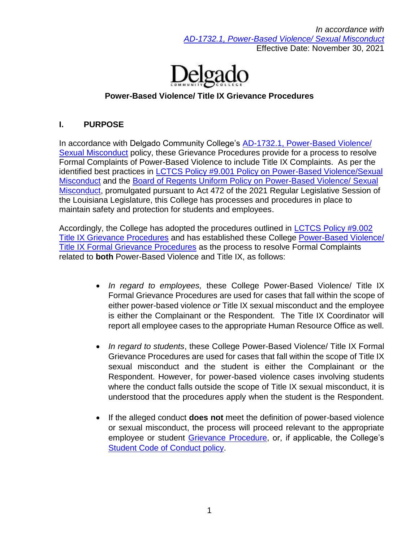*In accordance with [AD-1732.1, Power-Based Violence/ Sexual Misconduct](http://docushare3.dcc.edu/docushare/dsweb/Get/Document-7332)* Effective Date: November 30, 2021



## **Power-Based Violence/ Title IX Grievance Procedures**

#### **I. PURPOSE**

In accordance with Delgado Community College's [AD-1732.1, Power-Based Violence/](http://docushare3.dcc.edu/docushare/dsweb/Get/Document-7332)  [Sexual Misconduct](http://docushare3.dcc.edu/docushare/dsweb/Get/Document-7332) policy, these Grievance Procedures provide for a process to resolve Formal Complaints of Power-Based Violence to include Title IX Complaints. As per the identified best practices in **LCTCS Policy #9.001 Policy on Power-Based Violence/Sexual** [Misconduct](https://campussuite-storage.s3.amazonaws.com/prod/1558543/91b64910-2d2e-11e8-8c09-0a7155647e8a/2332545/120ee03a-31cd-11ec-bca0-02b4ec425fd5/file/9.001%20LCTCS%20POLICY%20ON%20POWER-BASED%20VIOLENCE%2010.20.21.pdf) and the [Board of Regents Uniform Policy on Power-Based Violence/ Sexual](https://regents.la.gov/divisions/legal-affairs/uniformpbvpolicy/)  [Misconduct,](https://regents.la.gov/divisions/legal-affairs/uniformpbvpolicy/) promulgated pursuant to Act 472 of the 2021 Regular Legislative Session of the Louisiana Legislature, this College has processes and procedures in place to maintain safety and protection for students and employees.

Accordingly, the College has adopted the procedures outlined in [LCTCS Policy #9.002](https://campussuite-storage.s3.amazonaws.com/prod/1558543/91b64910-2d2e-11e8-8c09-0a7155647e8a/2332546/120ee65c-31cd-11ec-9fc1-02b4ec425fd5/file/9.002%20LCTCS%20TITLE%20IX%20GRIEVANCE%20PROCEDURES%2010.20.21.pdf)  [Title IX Grievance Procedures](https://campussuite-storage.s3.amazonaws.com/prod/1558543/91b64910-2d2e-11e8-8c09-0a7155647e8a/2332546/120ee65c-31cd-11ec-9fc1-02b4ec425fd5/file/9.002%20LCTCS%20TITLE%20IX%20GRIEVANCE%20PROCEDURES%2010.20.21.pdf) and has established these College [Power-Based Violence/](http://docushare3.dcc.edu/docushare/dsweb/Get/Document-7990)  [Title IX Formal Grievance Procedures](http://docushare3.dcc.edu/docushare/dsweb/Get/Document-7990) as the process to resolve Formal Complaints related to **both** Power-Based Violence and Title IX, as follows:

- *In regard to employees,* these College Power-Based Violence/ Title IX Formal Grievance Procedures are used for cases that fall within the scope of either power-based violence *or* Title IX sexual misconduct and the employee is either the Complainant or the Respondent. The Title IX Coordinator will report all employee cases to the appropriate Human Resource Office as well.
- *In regard to students*, these College Power-Based Violence/ Title IX Formal Grievance Procedures are used for cases that fall within the scope of Title IX sexual misconduct and the student is either the Complainant or the Respondent. However, for power-based violence cases involving students where the conduct falls outside the scope of Title IX sexual misconduct, it is understood that the procedures apply when the student is the Respondent.
- If the alleged conduct **does not** meet the definition of power-based violence or sexual misconduct, the process will proceed relevant to the appropriate employee or student [Grievance Procedure,](https://www.dcc.edu/administration/policies/human-resources/grievance-procedures.aspx) or, if applicable, the College's [Student Code of Conduct policy.](http://docushare3.dcc.edu/docushare/dsweb/Get/Document-80)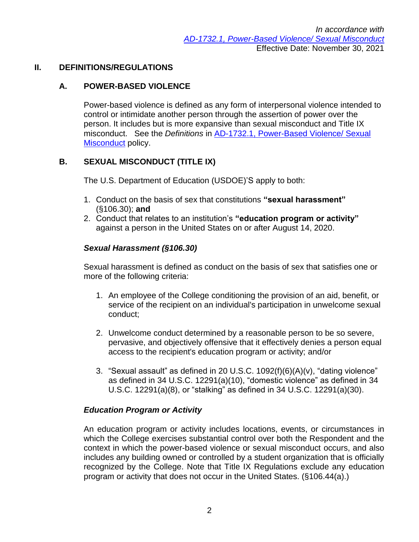### **II. DEFINITIONS/REGULATIONS**

## **A. POWER-BASED VIOLENCE**

Power-based violence is defined as any form of interpersonal violence intended to control or intimidate another person through the assertion of power over the person. It includes but is more expansive than sexual misconduct and Title IX misconduct. See the *Definitions* in [AD-1732.1, Power-Based Violence/ Sexual](http://docushare3.dcc.edu/docushare/dsweb/Get/Document-7332)  [Misconduct](http://docushare3.dcc.edu/docushare/dsweb/Get/Document-7332) policy.

### **B. SEXUAL MISCONDUCT (TITLE IX)**

The U.S. Department of Education (USDOE)'S apply to both:

- 1. Conduct on the basis of sex that constitutions **"sexual harassment"** (§106.30); **and**
- 2. Conduct that relates to an institution's **"education program or activity"** against a person in the United States on or after August 14, 2020.

#### *Sexual Harassment (§106.30)*

Sexual harassment is defined as conduct on the basis of sex that satisfies one or more of the following criteria:

- 1. An employee of the College conditioning the provision of an aid, benefit, or service of the recipient on an individual's participation in unwelcome sexual conduct;
- 2. Unwelcome conduct determined by a reasonable person to be so severe, pervasive, and objectively offensive that it effectively denies a person equal access to the recipient's education program or activity; and/or
- 3. "Sexual assault" as defined in 20 U.S.C. 1092(f)(6)(A)(v), "dating violence" as defined in 34 U.S.C. 12291(a)(10), "domestic violence" as defined in 34 U.S.C. 12291(a)(8), or "stalking" as defined in 34 U.S.C. 12291(a)(30).

#### *Education Program or Activity*

An education program or activity includes locations, events, or circumstances in which the College exercises substantial control over both the Respondent and the context in which the power-based violence or sexual misconduct occurs, and also includes any building owned or controlled by a student organization that is officially recognized by the College. Note that Title IX Regulations exclude any education program or activity that does not occur in the United States. (§106.44(a).)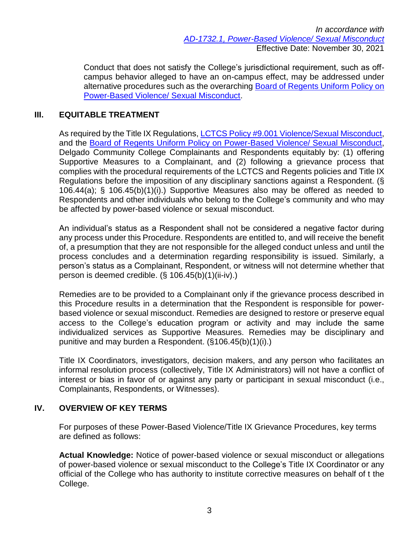*In accordance with [AD-1732.1, Power-Based Violence/ Sexual Misconduct](http://docushare3.dcc.edu/docushare/dsweb/Get/Document-7332)* Effective Date: November 30, 2021

Conduct that does not satisfy the College's jurisdictional requirement, such as offcampus behavior alleged to have an on-campus effect, may be addressed under alternative procedures such as the overarching [Board of Regents Uniform Policy on](https://regents.la.gov/divisions/legal-affairs/uniformpbvpolicy/)  [Power-Based Violence/ Sexual Misconduct.](https://regents.la.gov/divisions/legal-affairs/uniformpbvpolicy/)

#### **III. EQUITABLE TREATMENT**

As required by the Title IX Regulations, [LCTCS Policy #9.001 Violence/Sexual Misconduct,](https://campussuite-storage.s3.amazonaws.com/prod/1558543/91b64910-2d2e-11e8-8c09-0a7155647e8a/2332545/120ee03a-31cd-11ec-bca0-02b4ec425fd5/file/9.001%20LCTCS%20POLICY%20ON%20POWER-BASED%20VIOLENCE%2010.20.21.pdf) and the [Board of Regents Uniform Policy on Power-Based Violence/ Sexual Misconduct,](https://regents.la.gov/divisions/legal-affairs/uniformpbvpolicy/) Delgado Community College Complainants and Respondents equitably by: (1) offering Supportive Measures to a Complainant, and (2) following a grievance process that complies with the procedural requirements of the LCTCS and Regents policies and Title IX Regulations before the imposition of any disciplinary sanctions against a Respondent. (§ 106.44(a); § 106.45(b)(1)(i).) Supportive Measures also may be offered as needed to Respondents and other individuals who belong to the College's community and who may be affected by power-based violence or sexual misconduct.

An individual's status as a Respondent shall not be considered a negative factor during any process under this Procedure. Respondents are entitled to, and will receive the benefit of, a presumption that they are not responsible for the alleged conduct unless and until the process concludes and a determination regarding responsibility is issued. Similarly, a person's status as a Complainant, Respondent, or witness will not determine whether that person is deemed credible. (§ 106.45(b)(1)(ii-iv).)

Remedies are to be provided to a Complainant only if the grievance process described in this Procedure results in a determination that the Respondent is responsible for powerbased violence or sexual misconduct. Remedies are designed to restore or preserve equal access to the College's education program or activity and may include the same individualized services as Supportive Measures. Remedies may be disciplinary and punitive and may burden a Respondent. (§106.45(b)(1)(i).)

Title IX Coordinators, investigators, decision makers, and any person who facilitates an informal resolution process (collectively, Title IX Administrators) will not have a conflict of interest or bias in favor of or against any party or participant in sexual misconduct (i.e., Complainants, Respondents, or Witnesses).

#### **IV. OVERVIEW OF KEY TERMS**

For purposes of these Power-Based Violence/Title IX Grievance Procedures, key terms are defined as follows:

**Actual Knowledge:** Notice of power-based violence or sexual misconduct or allegations of power-based violence or sexual misconduct to the College's Title IX Coordinator or any official of the College who has authority to institute corrective measures on behalf of t the College.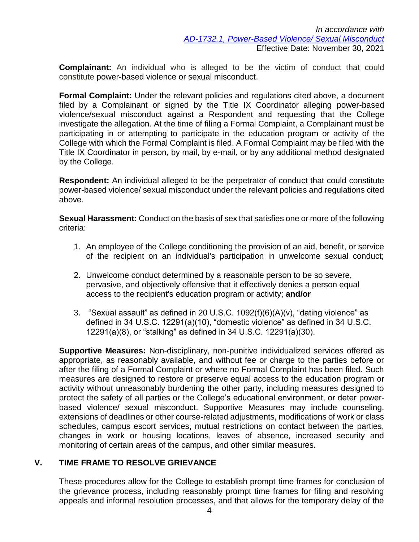**Complainant:** An individual who is alleged to be the victim of conduct that could constitute power-based violence or sexual misconduct.

**Formal Complaint:** Under the relevant policies and regulations cited above, a document filed by a Complainant or signed by the Title IX Coordinator alleging power-based violence/sexual misconduct against a Respondent and requesting that the College investigate the allegation. At the time of filing a Formal Complaint, a Complainant must be participating in or attempting to participate in the education program or activity of the College with which the Formal Complaint is filed. A Formal Complaint may be filed with the Title IX Coordinator in person, by mail, by e-mail, or by any additional method designated by the College.

**Respondent:** An individual alleged to be the perpetrator of conduct that could constitute power-based violence/ sexual misconduct under the relevant policies and regulations cited above.

**Sexual Harassment:** Conduct on the basis of sex that satisfies one or more of the following criteria:

- 1. An employee of the College conditioning the provision of an aid, benefit, or service of the recipient on an individual's participation in unwelcome sexual conduct;
- 2. Unwelcome conduct determined by a reasonable person to be so severe, pervasive, and objectively offensive that it effectively denies a person equal access to the recipient's education program or activity; **and/or**
- 3. "Sexual assault" as defined in 20 U.S.C. 1092(f)(6)(A)(v), "dating violence" as defined in 34 U.S.C. 12291(a)(10), "domestic violence" as defined in 34 U.S.C. 12291(a)(8), or "stalking" as defined in 34 U.S.C. 12291(a)(30).

**Supportive Measures:** Non-disciplinary, non-punitive individualized services offered as appropriate, as reasonably available, and without fee or charge to the parties before or after the filing of a Formal Complaint or where no Formal Complaint has been filed. Such measures are designed to restore or preserve equal access to the education program or activity without unreasonably burdening the other party, including measures designed to protect the safety of all parties or the College's educational environment, or deter powerbased violence/ sexual misconduct. Supportive Measures may include counseling, extensions of deadlines or other course-related adjustments, modifications of work or class schedules, campus escort services, mutual restrictions on contact between the parties, changes in work or housing locations, leaves of absence, increased security and monitoring of certain areas of the campus, and other similar measures.

## **V. TIME FRAME TO RESOLVE GRIEVANCE**

These procedures allow for the College to establish prompt time frames for conclusion of the grievance process, including reasonably prompt time frames for filing and resolving appeals and informal resolution processes, and that allows for the temporary delay of the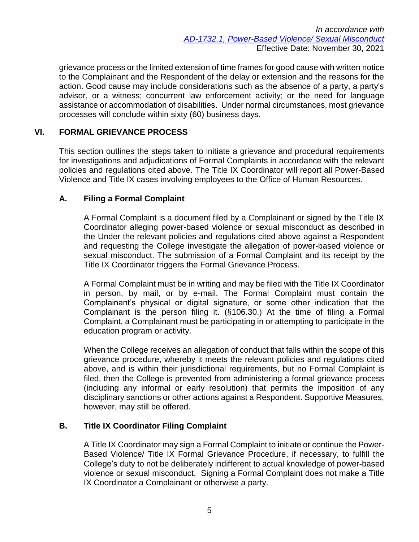grievance process or the limited extension of time frames for good cause with written notice to the Complainant and the Respondent of the delay or extension and the reasons for the action. Good cause may include considerations such as the absence of a party, a party's advisor, or a witness; concurrent law enforcement activity; or the need for language assistance or accommodation of disabilities. Under normal circumstances, most grievance processes will conclude within sixty (60) business days.

## **VI. FORMAL GRIEVANCE PROCESS**

This section outlines the steps taken to initiate a grievance and procedural requirements for investigations and adjudications of Formal Complaints in accordance with the relevant policies and regulations cited above. The Title IX Coordinator will report all Power-Based Violence and Title IX cases involving employees to the Office of Human Resources.

#### **A. Filing a Formal Complaint**

A Formal Complaint is a document filed by a Complainant or signed by the Title IX Coordinator alleging power-based violence or sexual misconduct as described in the Under the relevant policies and regulations cited above against a Respondent and requesting the College investigate the allegation of power-based violence or sexual misconduct. The submission of a Formal Complaint and its receipt by the Title IX Coordinator triggers the Formal Grievance Process.

A Formal Complaint must be in writing and may be filed with the Title IX Coordinator in person, by mail, or by e-mail. The Formal Complaint must contain the Complainant's physical or digital signature, or some other indication that the Complainant is the person filing it. (§106.30.) At the time of filing a Formal Complaint, a Complainant must be participating in or attempting to participate in the education program or activity.

When the College receives an allegation of conduct that falls within the scope of this grievance procedure, whereby it meets the relevant policies and regulations cited above, and is within their jurisdictional requirements, but no Formal Complaint is filed, then the College is prevented from administering a formal grievance process (including any informal or early resolution) that permits the imposition of any disciplinary sanctions or other actions against a Respondent. Supportive Measures, however, may still be offered.

## **B. Title IX Coordinator Filing Complaint**

A Title IX Coordinator may sign a Formal Complaint to initiate or continue the Power-Based Violence/ Title IX Formal Grievance Procedure, if necessary, to fulfill the College's duty to not be deliberately indifferent to actual knowledge of power-based violence or sexual misconduct. Signing a Formal Complaint does not make a Title IX Coordinator a Complainant or otherwise a party.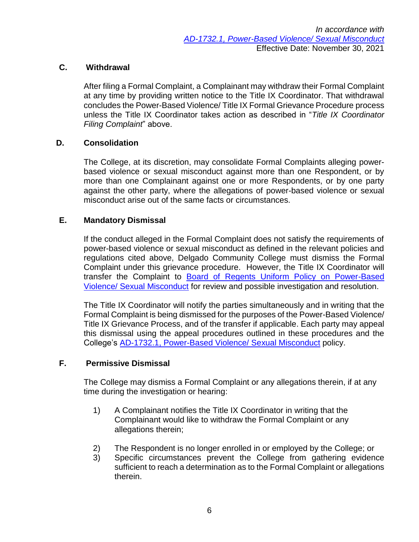## **C. Withdrawal**

After filing a Formal Complaint, a Complainant may withdraw their Formal Complaint at any time by providing written notice to the Title IX Coordinator. That withdrawal concludes the Power-Based Violence/ Title IX Formal Grievance Procedure process unless the Title IX Coordinator takes action as described in "*Title IX Coordinator Filing Complaint*" above.

### **D. Consolidation**

The College, at its discretion, may consolidate Formal Complaints alleging powerbased violence or sexual misconduct against more than one Respondent, or by more than one Complainant against one or more Respondents, or by one party against the other party, where the allegations of power-based violence or sexual misconduct arise out of the same facts or circumstances.

### **E. Mandatory Dismissal**

If the conduct alleged in the Formal Complaint does not satisfy the requirements of power-based violence or sexual misconduct as defined in the relevant policies and regulations cited above, Delgado Community College must dismiss the Formal Complaint under this grievance procedure. However, the Title IX Coordinator will transfer the Complaint to [Board of Regents Uniform Policy on Power-Based](https://regents.la.gov/divisions/legal-affairs/uniformpbvpolicy/)  [Violence/ Sexual Misconduct](https://regents.la.gov/divisions/legal-affairs/uniformpbvpolicy/) for review and possible investigation and resolution.

The Title IX Coordinator will notify the parties simultaneously and in writing that the Formal Complaint is being dismissed for the purposes of the Power-Based Violence/ Title IX Grievance Process, and of the transfer if applicable. Each party may appeal this dismissal using the appeal procedures outlined in these procedures and the College's [AD-1732.1, Power-Based Violence/ Sexual Misconduct](http://docushare3.dcc.edu/docushare/dsweb/Get/Document-7332) policy.

#### **F. Permissive Dismissal**

The College may dismiss a Formal Complaint or any allegations therein, if at any time during the investigation or hearing:

- 1) A Complainant notifies the Title IX Coordinator in writing that the Complainant would like to withdraw the Formal Complaint or any allegations therein;
- 2) The Respondent is no longer enrolled in or employed by the College; or
- 3) Specific circumstances prevent the College from gathering evidence sufficient to reach a determination as to the Formal Complaint or allegations therein.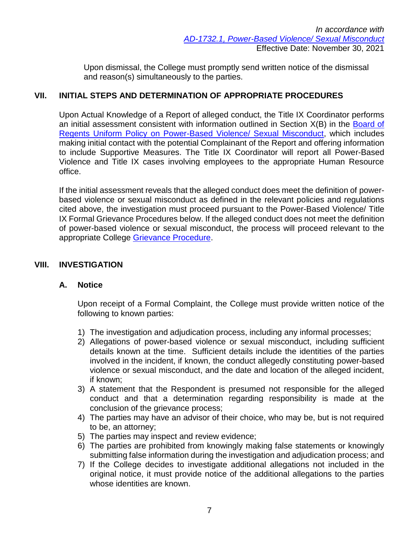Upon dismissal, the College must promptly send written notice of the dismissal and reason(s) simultaneously to the parties.

### **VII. INITIAL STEPS AND DETERMINATION OF APPROPRIATE PROCEDURES**

Upon Actual Knowledge of a Report of alleged conduct, the Title IX Coordinator performs an initial assessment consistent with information outlined in Section X(B) in the [Board](https://regents.la.gov/divisions/legal-affairs/uniformpbvpolicy/) of [Regents Uniform Policy on Power-Based Violence/ Sexual Misconduct,](https://regents.la.gov/divisions/legal-affairs/uniformpbvpolicy/) which includes making initial contact with the potential Complainant of the Report and offering information to include Supportive Measures. The Title IX Coordinator will report all Power-Based Violence and Title IX cases involving employees to the appropriate Human Resource office.

If the initial assessment reveals that the alleged conduct does meet the definition of powerbased violence or sexual misconduct as defined in the relevant policies and regulations cited above, the investigation must proceed pursuant to the Power-Based Violence/ Title IX Formal Grievance Procedures below. If the alleged conduct does not meet the definition of power-based violence or sexual misconduct, the process will proceed relevant to the appropriate College [Grievance Procedure.](https://www.dcc.edu/administration/policies/human-resources/grievance-procedures.aspx)

### **VIII. INVESTIGATION**

#### **A. Notice**

Upon receipt of a Formal Complaint, the College must provide written notice of the following to known parties:

- 1) The investigation and adjudication process, including any informal processes;
- 2) Allegations of power-based violence or sexual misconduct, including sufficient details known at the time. Sufficient details include the identities of the parties involved in the incident, if known, the conduct allegedly constituting power-based violence or sexual misconduct, and the date and location of the alleged incident, if known;
- 3) A statement that the Respondent is presumed not responsible for the alleged conduct and that a determination regarding responsibility is made at the conclusion of the grievance process;
- 4) The parties may have an advisor of their choice, who may be, but is not required to be, an attorney;
- 5) The parties may inspect and review evidence;
- 6) The parties are prohibited from knowingly making false statements or knowingly submitting false information during the investigation and adjudication process; and
- 7) If the College decides to investigate additional allegations not included in the original notice, it must provide notice of the additional allegations to the parties whose identities are known.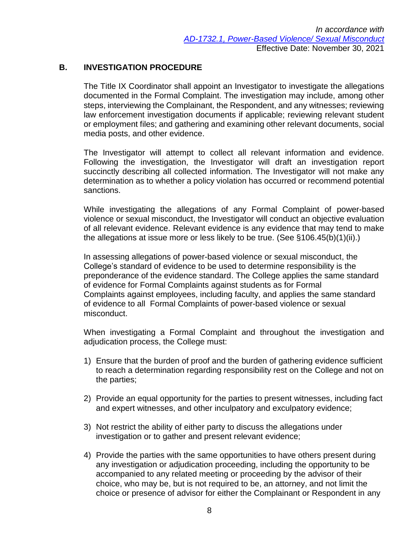## **B. INVESTIGATION PROCEDURE**

The Title IX Coordinator shall appoint an Investigator to investigate the allegations documented in the Formal Complaint. The investigation may include, among other steps, interviewing the Complainant, the Respondent, and any witnesses; reviewing law enforcement investigation documents if applicable; reviewing relevant student or employment files; and gathering and examining other relevant documents, social media posts, and other evidence.

The Investigator will attempt to collect all relevant information and evidence. Following the investigation, the Investigator will draft an investigation report succinctly describing all collected information. The Investigator will not make any determination as to whether a policy violation has occurred or recommend potential sanctions.

While investigating the allegations of any Formal Complaint of power-based violence or sexual misconduct, the Investigator will conduct an objective evaluation of all relevant evidence. Relevant evidence is any evidence that may tend to make the allegations at issue more or less likely to be true. (See §106.45(b)(1)(ii).)

In assessing allegations of power-based violence or sexual misconduct, the College's standard of evidence to be used to determine responsibility is the preponderance of the evidence standard. The College applies the same standard of evidence for Formal Complaints against students as for Formal Complaints against employees, including faculty, and applies the same standard of evidence to all Formal Complaints of power-based violence or sexual misconduct.

When investigating a Formal Complaint and throughout the investigation and adjudication process, the College must:

- 1) Ensure that the burden of proof and the burden of gathering evidence sufficient to reach a determination regarding responsibility rest on the College and not on the parties;
- 2) Provide an equal opportunity for the parties to present witnesses, including fact and expert witnesses, and other inculpatory and exculpatory evidence;
- 3) Not restrict the ability of either party to discuss the allegations under investigation or to gather and present relevant evidence;
- 4) Provide the parties with the same opportunities to have others present during any investigation or adjudication proceeding, including the opportunity to be accompanied to any related meeting or proceeding by the advisor of their choice, who may be, but is not required to be, an attorney, and not limit the choice or presence of advisor for either the Complainant or Respondent in any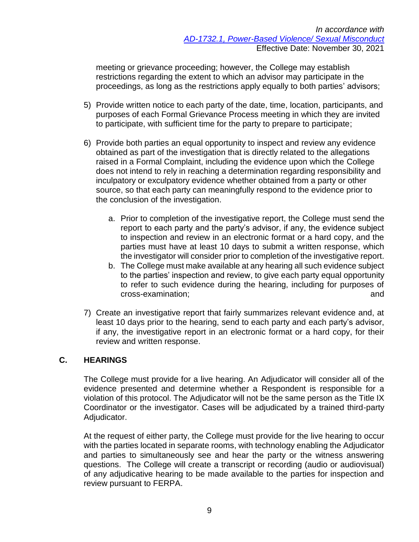meeting or grievance proceeding; however, the College may establish restrictions regarding the extent to which an advisor may participate in the proceedings, as long as the restrictions apply equally to both parties' advisors;

- 5) Provide written notice to each party of the date, time, location, participants, and purposes of each Formal Grievance Process meeting in which they are invited to participate, with sufficient time for the party to prepare to participate;
- 6) Provide both parties an equal opportunity to inspect and review any evidence obtained as part of the investigation that is directly related to the allegations raised in a Formal Complaint, including the evidence upon which the College does not intend to rely in reaching a determination regarding responsibility and inculpatory or exculpatory evidence whether obtained from a party or other source, so that each party can meaningfully respond to the evidence prior to the conclusion of the investigation.
	- a. Prior to completion of the investigative report, the College must send the report to each party and the party's advisor, if any, the evidence subject to inspection and review in an electronic format or a hard copy, and the parties must have at least 10 days to submit a written response, which the investigator will consider prior to completion of the investigative report.
	- b. The College must make available at any hearing all such evidence subject to the parties' inspection and review, to give each party equal opportunity to refer to such evidence during the hearing, including for purposes of cross-examination; and
- 7) Create an investigative report that fairly summarizes relevant evidence and, at least 10 days prior to the hearing, send to each party and each party's advisor, if any, the investigative report in an electronic format or a hard copy, for their review and written response.

## **C. HEARINGS**

The College must provide for a live hearing. An Adjudicator will consider all of the evidence presented and determine whether a Respondent is responsible for a violation of this protocol. The Adjudicator will not be the same person as the Title IX Coordinator or the investigator. Cases will be adjudicated by a trained third-party Adjudicator.

At the request of either party, the College must provide for the live hearing to occur with the parties located in separate rooms, with technology enabling the Adjudicator and parties to simultaneously see and hear the party or the witness answering questions. The College will create a transcript or recording (audio or audiovisual) of any adjudicative hearing to be made available to the parties for inspection and review pursuant to FERPA.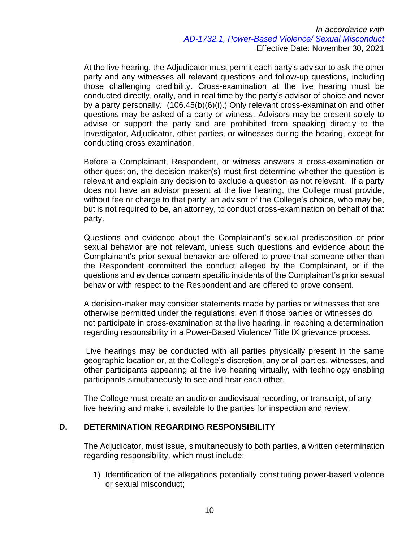*In accordance with [AD-1732.1, Power-Based Violence/ Sexual Misconduct](http://docushare3.dcc.edu/docushare/dsweb/Get/Document-7332)* Effective Date: November 30, 2021

At the live hearing, the Adjudicator must permit each party's advisor to ask the other party and any witnesses all relevant questions and follow-up questions, including those challenging credibility. Cross-examination at the live hearing must be conducted directly, orally, and in real time by the party's advisor of choice and never by a party personally. (106.45(b)(6)(i).) Only relevant cross-examination and other questions may be asked of a party or witness. Advisors may be present solely to advise or support the party and are prohibited from speaking directly to the Investigator, Adjudicator, other parties, or witnesses during the hearing, except for conducting cross examination.

Before a Complainant, Respondent, or witness answers a cross-examination or other question, the decision maker(s) must first determine whether the question is relevant and explain any decision to exclude a question as not relevant. If a party does not have an advisor present at the live hearing, the College must provide, without fee or charge to that party, an advisor of the College's choice, who may be, but is not required to be, an attorney, to conduct cross-examination on behalf of that party.

Questions and evidence about the Complainant's sexual predisposition or prior sexual behavior are not relevant, unless such questions and evidence about the Complainant's prior sexual behavior are offered to prove that someone other than the Respondent committed the conduct alleged by the Complainant, or if the questions and evidence concern specific incidents of the Complainant's prior sexual behavior with respect to the Respondent and are offered to prove consent.

A decision-maker may consider statements made by parties or witnesses that are otherwise permitted under the regulations, even if those parties or witnesses do not participate in cross-examination at the live hearing, in reaching a determination regarding responsibility in a Power-Based Violence/ Title IX grievance process.

Live hearings may be conducted with all parties physically present in the same geographic location or, at the College's discretion, any or all parties, witnesses, and other participants appearing at the live hearing virtually, with technology enabling participants simultaneously to see and hear each other.

The College must create an audio or audiovisual recording, or transcript, of any live hearing and make it available to the parties for inspection and review.

#### **D. DETERMINATION REGARDING RESPONSIBILITY**

The Adjudicator, must issue, simultaneously to both parties, a written determination regarding responsibility, which must include:

1) Identification of the allegations potentially constituting power-based violence or sexual misconduct;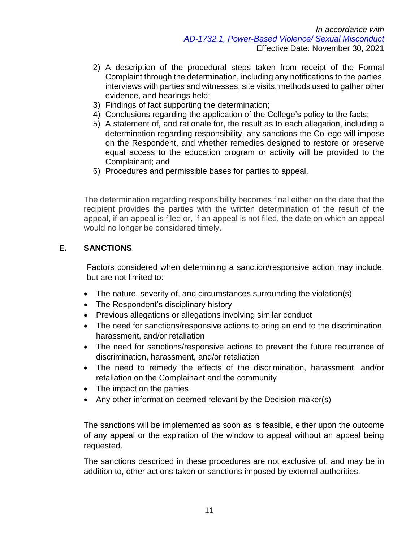- 2) A description of the procedural steps taken from receipt of the Formal Complaint through the determination, including any notifications to the parties, interviews with parties and witnesses, site visits, methods used to gather other evidence, and hearings held;
- 3) Findings of fact supporting the determination;
- 4) Conclusions regarding the application of the College's policy to the facts;
- 5) A statement of, and rationale for, the result as to each allegation, including a determination regarding responsibility, any sanctions the College will impose on the Respondent, and whether remedies designed to restore or preserve equal access to the education program or activity will be provided to the Complainant; and
- 6) Procedures and permissible bases for parties to appeal.

The determination regarding responsibility becomes final either on the date that the recipient provides the parties with the written determination of the result of the appeal, if an appeal is filed or, if an appeal is not filed, the date on which an appeal would no longer be considered timely.

#### **E. SANCTIONS**

Factors considered when determining a sanction/responsive action may include, but are not limited to:

- The nature, severity of, and circumstances surrounding the violation(s)
- The Respondent's disciplinary history
- Previous allegations or allegations involving similar conduct
- The need for sanctions/responsive actions to bring an end to the discrimination, harassment, and/or retaliation
- The need for sanctions/responsive actions to prevent the future recurrence of discrimination, harassment, and/or retaliation
- The need to remedy the effects of the discrimination, harassment, and/or retaliation on the Complainant and the community
- The impact on the parties
- Any other information deemed relevant by the Decision-maker(s)

The sanctions will be implemented as soon as is feasible, either upon the outcome of any appeal or the expiration of the window to appeal without an appeal being requested.

The sanctions described in these procedures are not exclusive of, and may be in addition to, other actions taken or sanctions imposed by external authorities.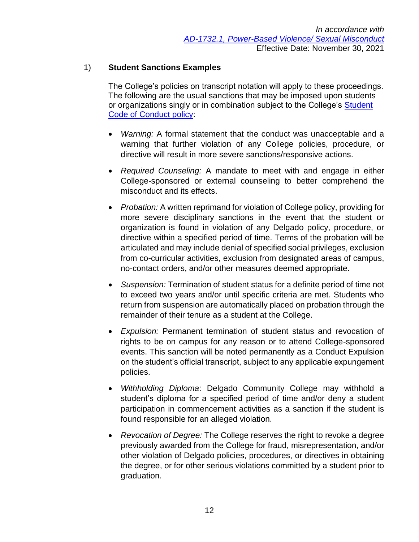## 1) **Student Sanctions Examples**

The College's policies on transcript notation will apply to these proceedings. The following are the usual sanctions that may be imposed upon students or organizations singly or in combination subject to the College's Student [Code of Conduct policy:](http://docushare3.dcc.edu/docushare/dsweb/Get/Document-80)

- *Warning:* A formal statement that the conduct was unacceptable and a warning that further violation of any College policies, procedure, or directive will result in more severe sanctions/responsive actions.
- *Required Counseling:* A mandate to meet with and engage in either College-sponsored or external counseling to better comprehend the misconduct and its effects.
- *Probation:* A written reprimand for violation of College policy, providing for more severe disciplinary sanctions in the event that the student or organization is found in violation of any Delgado policy, procedure, or directive within a specified period of time. Terms of the probation will be articulated and may include denial of specified social privileges, exclusion from co-curricular activities, exclusion from designated areas of campus, no-contact orders, and/or other measures deemed appropriate.
- *Suspension:* Termination of student status for a definite period of time not to exceed two years and/or until specific criteria are met. Students who return from suspension are automatically placed on probation through the remainder of their tenure as a student at the College.
- *Expulsion:* Permanent termination of student status and revocation of rights to be on campus for any reason or to attend College-sponsored events. This sanction will be noted permanently as a Conduct Expulsion on the student's official transcript, subject to any applicable expungement policies.
- *Withholding Diploma*: Delgado Community College may withhold a student's diploma for a specified period of time and/or deny a student participation in commencement activities as a sanction if the student is found responsible for an alleged violation.
- *Revocation of Degree:* The College reserves the right to revoke a degree previously awarded from the College for fraud, misrepresentation, and/or other violation of Delgado policies, procedures, or directives in obtaining the degree, or for other serious violations committed by a student prior to graduation.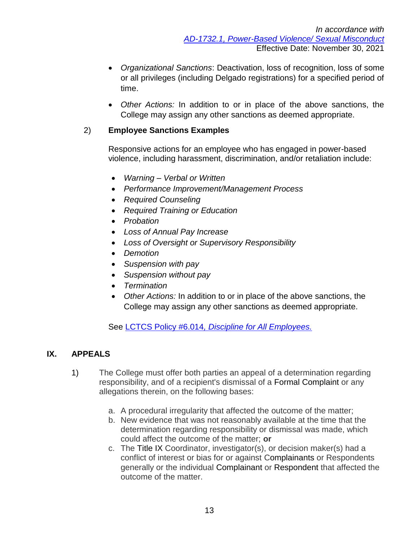- *Organizational Sanctions*: Deactivation, loss of recognition, loss of some or all privileges (including Delgado registrations) for a specified period of time.
- *Other Actions:* In addition to or in place of the above sanctions, the College may assign any other sanctions as deemed appropriate.

# 2) **Employee Sanctions Examples**

Responsive actions for an employee who has engaged in power-based violence, including harassment, discrimination, and/or retaliation include:

- *Warning – Verbal or Written*
- *Performance Improvement/Management Process*
- *Required Counseling*
- *Required Training or Education*
- *Probation*
- *Loss of Annual Pay Increase*
- *Loss of Oversight or Supervisory Responsibility*
- *Demotion*
- *Suspension with pay*
- *Suspension without pay*
- *Termination*
- *Other Actions:* In addition to or in place of the above sanctions, the College may assign any other sanctions as deemed appropriate.

See LCTCS Policy #6.014*[, Discipline for All Employees.](https://campussuite-storage.s3.amazonaws.com/prod/1558543/91b64910-2d2e-11e8-8c09-0a7155647e8a/1778099/005361a0-584f-11e8-89e8-12be56b8d5f6/file/6014_Discipline-For-All-Employees_12202016.pdf)*

## **IX. APPEALS**

- 1) The College must offer both parties an appeal of a determination regarding responsibility, and of a recipient's dismissal of a Formal Complaint or any allegations therein, on the following bases:
	- a. A procedural irregularity that affected the outcome of the matter;
	- b. New evidence that was not reasonably available at the time that the determination regarding responsibility or dismissal was made, which could affect the outcome of the matter; **or**
	- c. The Title IX Coordinator, investigator(s), or decision maker(s) had a conflict of interest or bias for or against Complainants or Respondents generally or the individual Complainant or Respondent that affected the outcome of the matter.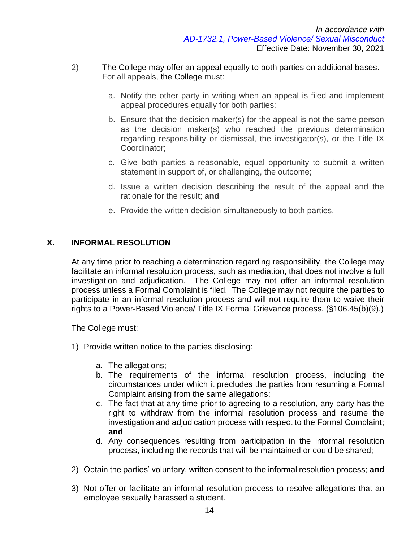- 2) The College may offer an appeal equally to both parties on additional bases. For all appeals, the College must:
	- a. Notify the other party in writing when an appeal is filed and implement appeal procedures equally for both parties;
	- b. Ensure that the decision maker(s) for the appeal is not the same person as the decision maker(s) who reached the previous determination regarding responsibility or dismissal, the investigator(s), or the Title IX Coordinator;
	- c. Give both parties a reasonable, equal opportunity to submit a written statement in support of, or challenging, the outcome;
	- d. Issue a written decision describing the result of the appeal and the rationale for the result; **and**
	- e. Provide the written decision simultaneously to both parties.

## **X. INFORMAL RESOLUTION**

At any time prior to reaching a determination regarding responsibility, the College may facilitate an informal resolution process, such as mediation, that does not involve a full investigation and adjudication. The College may not offer an informal resolution process unless a Formal Complaint is filed. The College may not require the parties to participate in an informal resolution process and will not require them to waive their rights to a Power-Based Violence/ Title IX Formal Grievance process. (§106.45(b)(9).)

The College must:

- 1) Provide written notice to the parties disclosing:
	- a. The allegations;
	- b. The requirements of the informal resolution process, including the circumstances under which it precludes the parties from resuming a Formal Complaint arising from the same allegations;
	- c. The fact that at any time prior to agreeing to a resolution, any party has the right to withdraw from the informal resolution process and resume the investigation and adjudication process with respect to the Formal Complaint; **and**
	- d. Any consequences resulting from participation in the informal resolution process, including the records that will be maintained or could be shared;
- 2) Obtain the parties' voluntary, written consent to the informal resolution process; **and**
- 3) Not offer or facilitate an informal resolution process to resolve allegations that an employee sexually harassed a student.